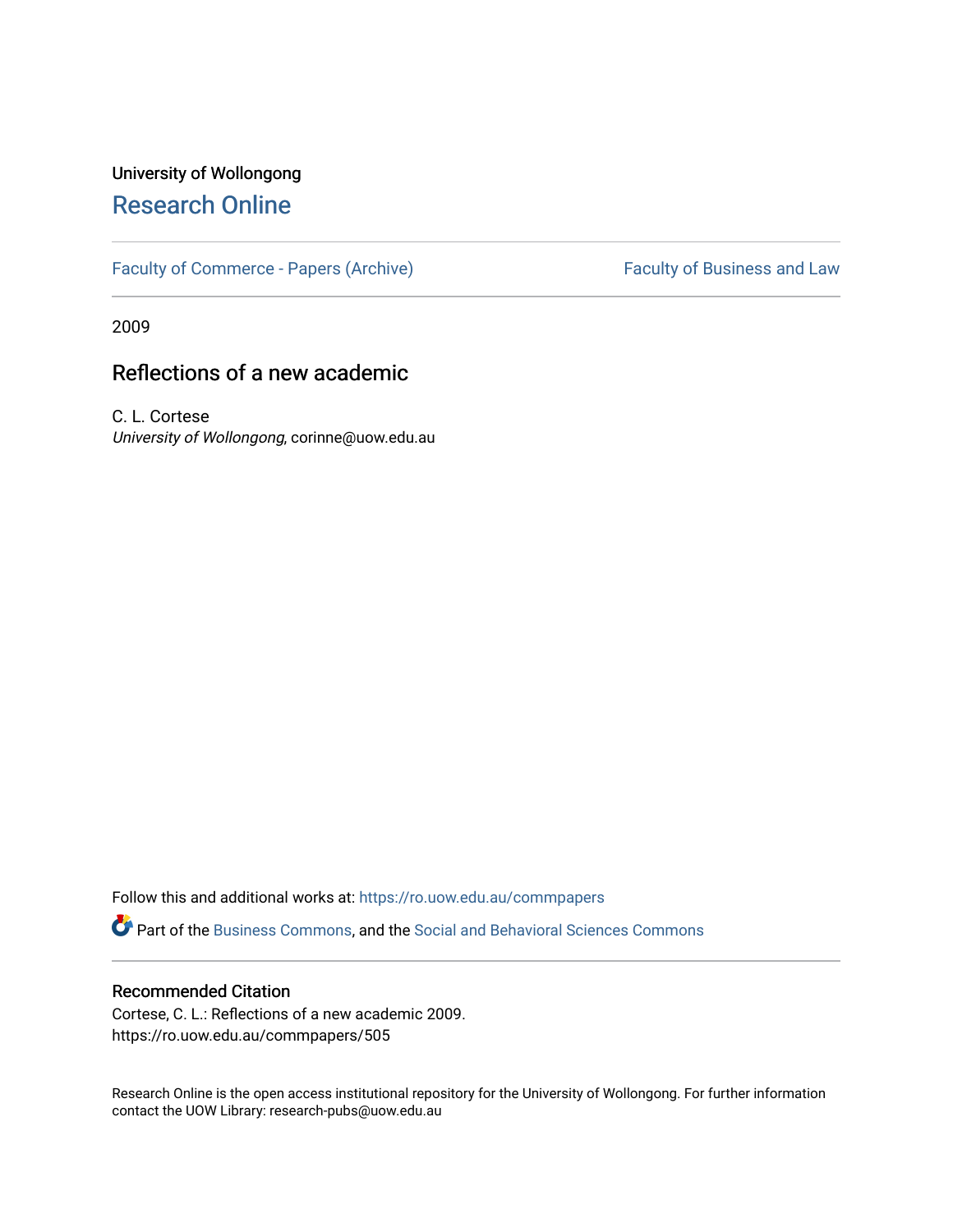## University of Wollongong [Research Online](https://ro.uow.edu.au/)

[Faculty of Commerce - Papers \(Archive\)](https://ro.uow.edu.au/commpapers) Faculty of Business and Law

2009

## Reflections of a new academic

C. L. Cortese University of Wollongong, corinne@uow.edu.au

Follow this and additional works at: [https://ro.uow.edu.au/commpapers](https://ro.uow.edu.au/commpapers?utm_source=ro.uow.edu.au%2Fcommpapers%2F505&utm_medium=PDF&utm_campaign=PDFCoverPages) 

Part of the [Business Commons](http://network.bepress.com/hgg/discipline/622?utm_source=ro.uow.edu.au%2Fcommpapers%2F505&utm_medium=PDF&utm_campaign=PDFCoverPages), and the [Social and Behavioral Sciences Commons](http://network.bepress.com/hgg/discipline/316?utm_source=ro.uow.edu.au%2Fcommpapers%2F505&utm_medium=PDF&utm_campaign=PDFCoverPages) 

#### Recommended Citation

Cortese, C. L.: Reflections of a new academic 2009. https://ro.uow.edu.au/commpapers/505

Research Online is the open access institutional repository for the University of Wollongong. For further information contact the UOW Library: research-pubs@uow.edu.au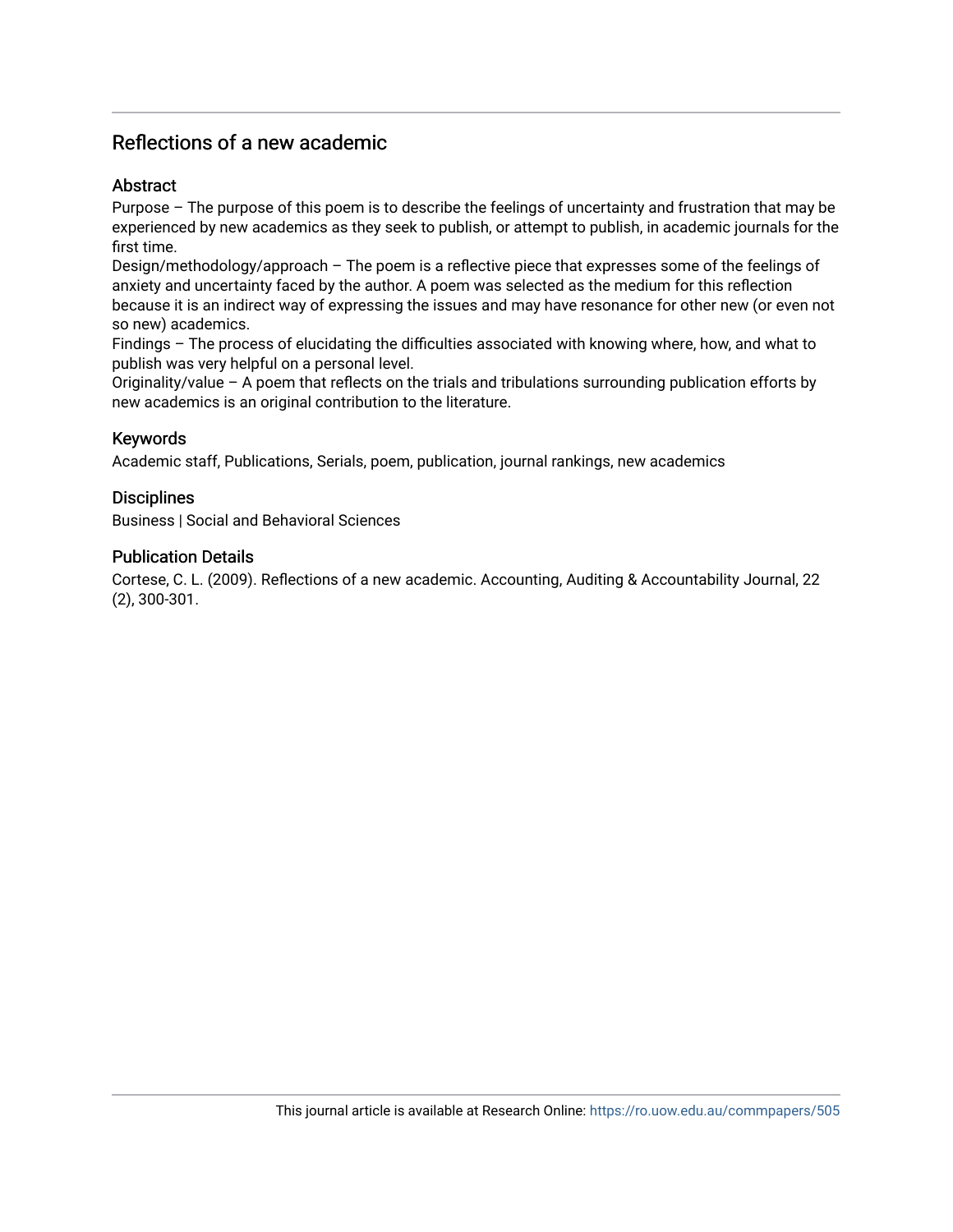### Abstract

Purpose – The purpose of this poem is to describe the feelings of uncertainty and frustration that may be experienced by new academics as they seek to publish, or attempt to publish, in academic journals for the first time.

Design/methodology/approach – The poem is a reflective piece that expresses some of the feelings of anxiety and uncertainty faced by the author. A poem was selected as the medium for this reflection because it is an indirect way of expressing the issues and may have resonance for other new (or even not so new) academics.

Findings – The process of elucidating the difficulties associated with knowing where, how, and what to publish was very helpful on a personal level.

Originality/value – A poem that reflects on the trials and tribulations surrounding publication efforts by new academics is an original contribution to the literature.

### Keywords

Academic staff, Publications, Serials, poem, publication, journal rankings, new academics

#### **Disciplines**

Business | Social and Behavioral Sciences

#### Publication Details

Cortese, C. L. (2009). Reflections of a new academic. Accounting, Auditing & Accountability Journal, 22 (2), 300-301.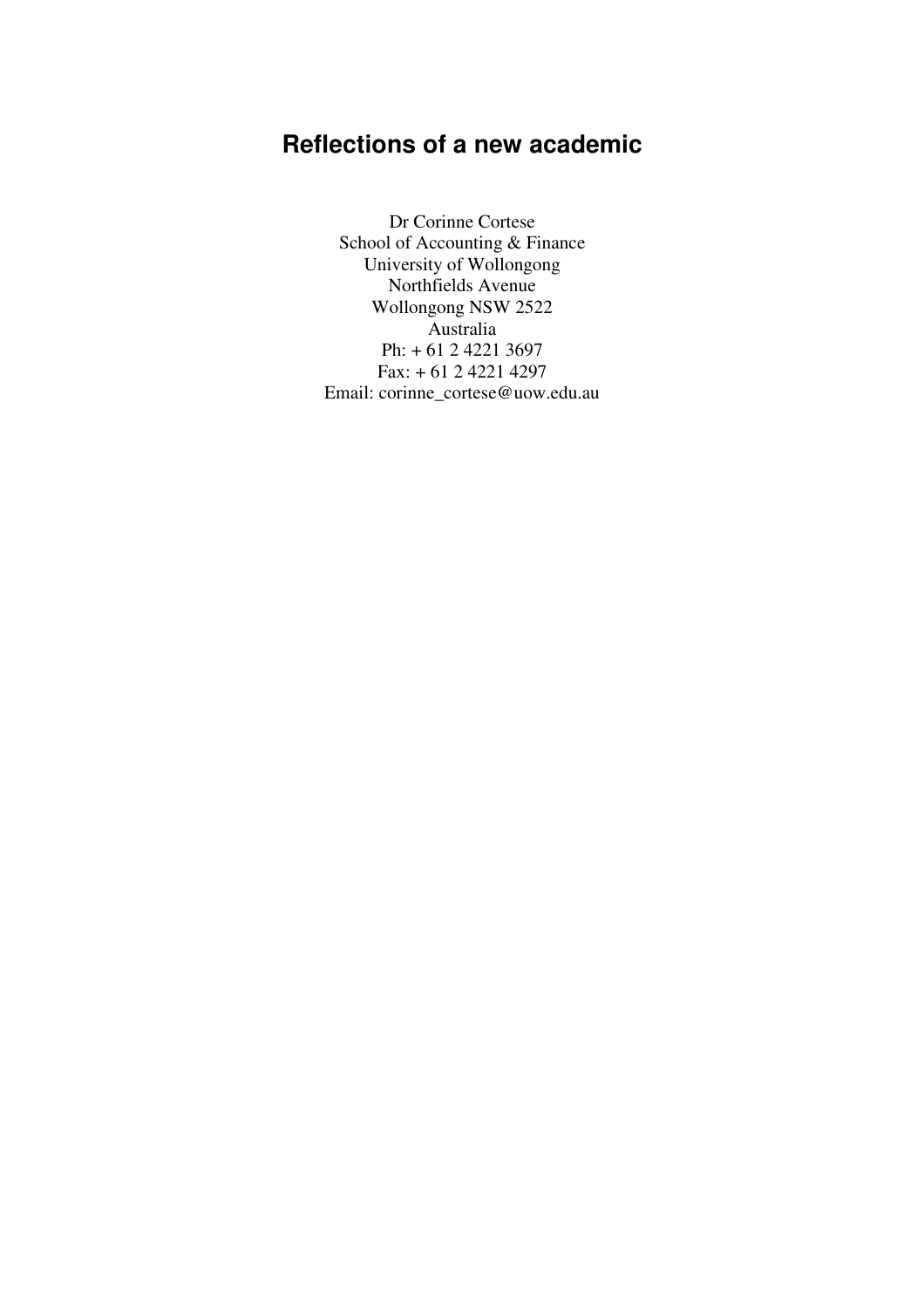Dr Corinne Cortese School of Accounting & Finance University of Wollongong Northfields Avenue Wollongong NSW 2522 Australia Ph: + 61 2 4221 3697 Fax: + 61 2 4221 4297 Email: corinne\_cortese@uow.edu.au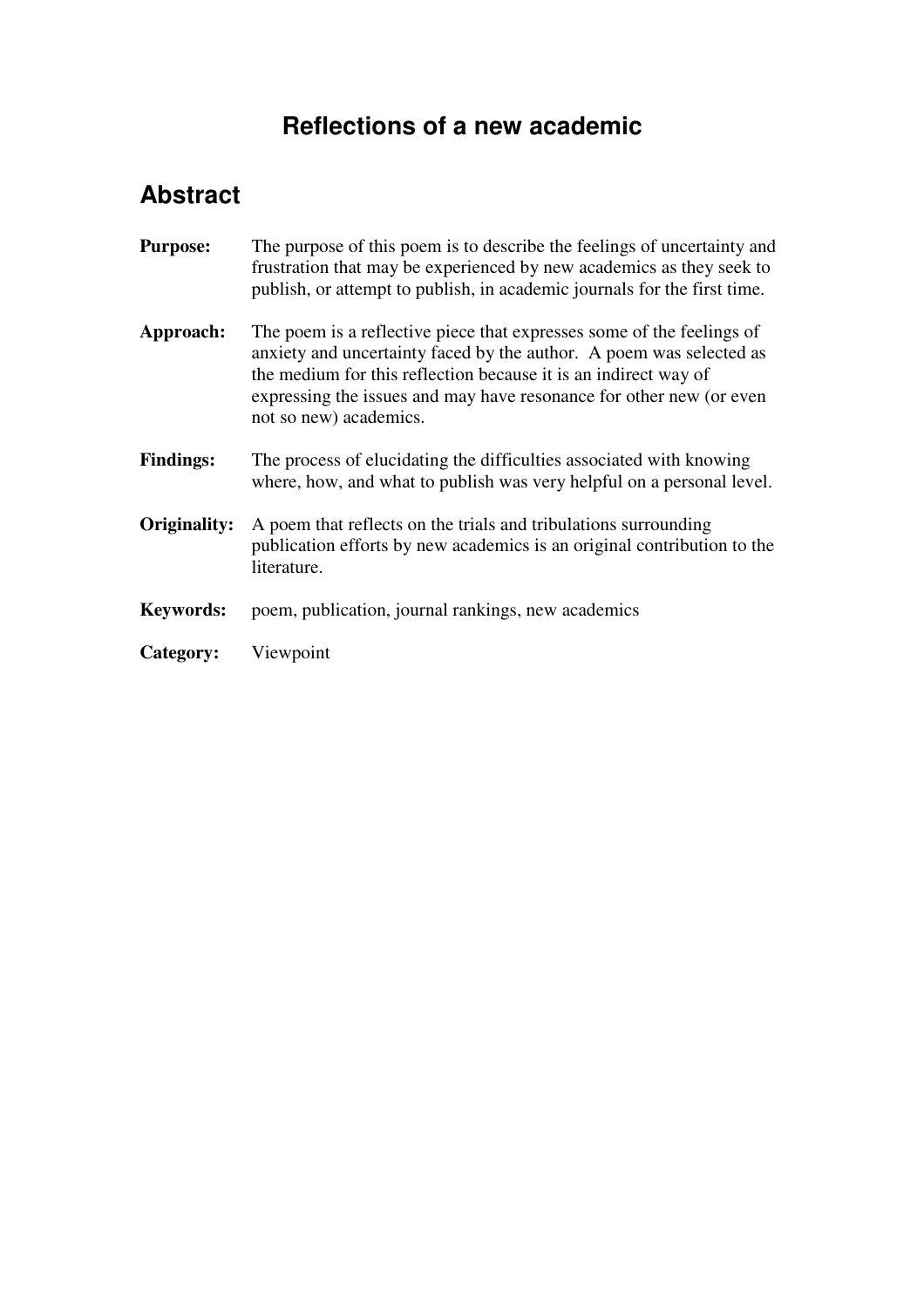# **Abstract**

| <b>Purpose:</b>  | The purpose of this poem is to describe the feelings of uncertainty and<br>frustration that may be experienced by new academics as they seek to<br>publish, or attempt to publish, in academic journals for the first time.                                                                                      |
|------------------|------------------------------------------------------------------------------------------------------------------------------------------------------------------------------------------------------------------------------------------------------------------------------------------------------------------|
| Approach:        | The poem is a reflective piece that expresses some of the feelings of<br>anxiety and uncertainty faced by the author. A poem was selected as<br>the medium for this reflection because it is an indirect way of<br>expressing the issues and may have resonance for other new (or even<br>not so new) academics. |
| <b>Findings:</b> | The process of elucidating the difficulties associated with knowing<br>where, how, and what to publish was very helpful on a personal level.                                                                                                                                                                     |
| Originality:     | A poem that reflects on the trials and tribulations surrounding<br>publication efforts by new academics is an original contribution to the<br>literature.                                                                                                                                                        |
| Keywords:        | poem, publication, journal rankings, new academics                                                                                                                                                                                                                                                               |
| Category:        | Viewpoint                                                                                                                                                                                                                                                                                                        |